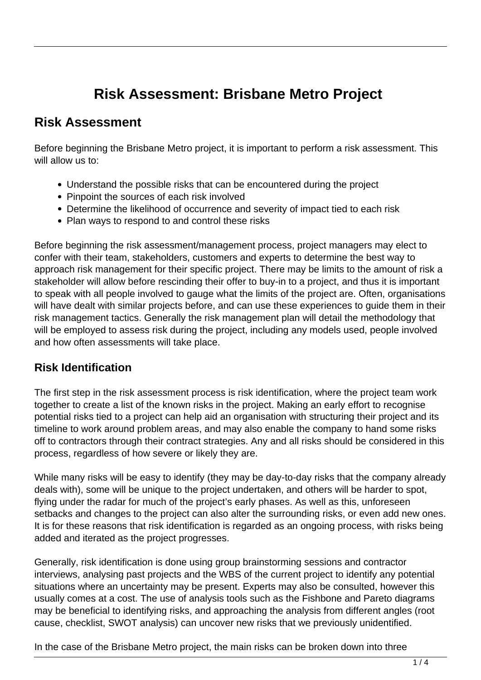# **Risk Assessment: Brisbane Metro Project**

## **Risk Assessment**

Before beginning the Brisbane Metro project, it is important to perform a risk assessment. This will allow us to:

- Understand the possible risks that can be encountered during the project
- Pinpoint the sources of each risk involved
- Determine the likelihood of occurrence and severity of impact tied to each risk
- Plan ways to respond to and control these risks

Before beginning the risk assessment/management process, project managers may elect to confer with their team, stakeholders, customers and experts to determine the best way to approach risk management for their specific project. There may be limits to the amount of risk a stakeholder will allow before rescinding their offer to buy-in to a project, and thus it is important to speak with all people involved to gauge what the limits of the project are. Often, organisations will have dealt with similar projects before, and can use these experiences to guide them in their risk management tactics. Generally the risk management plan will detail the methodology that will be employed to assess risk during the project, including any models used, people involved and how often assessments will take place.

#### **Risk Identification**

The first step in the risk assessment process is risk identification, where the project team work together to create a list of the known risks in the project. Making an early effort to recognise potential risks tied to a project can help aid an organisation with structuring their project and its timeline to work around problem areas, and may also enable the company to hand some risks off to contractors through their contract strategies. Any and all risks should be considered in this process, regardless of how severe or likely they are.

While many risks will be easy to identify (they may be day-to-day risks that the company already deals with), some will be unique to the project undertaken, and others will be harder to spot, flying under the radar for much of the project's early phases. As well as this, unforeseen setbacks and changes to the project can also alter the surrounding risks, or even add new ones. It is for these reasons that risk identification is regarded as an ongoing process, with risks being added and iterated as the project progresses.

Generally, risk identification is done using group brainstorming sessions and contractor interviews, analysing past projects and the WBS of the current project to identify any potential situations where an uncertainty may be present. Experts may also be consulted, however this usually comes at a cost. The use of analysis tools such as the Fishbone and Pareto diagrams may be beneficial to identifying risks, and approaching the analysis from different angles (root cause, checklist, SWOT analysis) can uncover new risks that we previously unidentified.

In the case of the Brisbane Metro project, the main risks can be broken down into three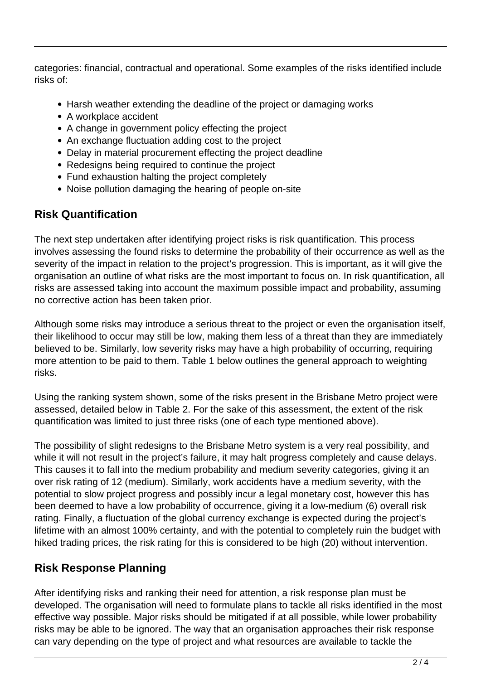categories: financial, contractual and operational. Some examples of the risks identified include risks of:

- Harsh weather extending the deadline of the project or damaging works
- A workplace accident
- A change in government policy effecting the project
- An exchange fluctuation adding cost to the project
- Delay in material procurement effecting the project deadline
- Redesigns being required to continue the project
- Fund exhaustion halting the project completely
- Noise pollution damaging the hearing of people on-site

## **Risk Quantification**

The next step undertaken after identifying project risks is risk quantification. This process involves assessing the found risks to determine the probability of their occurrence as well as the severity of the impact in relation to the project's progression. This is important, as it will give the organisation an outline of what risks are the most important to focus on. In risk quantification, all risks are assessed taking into account the maximum possible impact and probability, assuming no corrective action has been taken prior.

Although some risks may introduce a serious threat to the project or even the organisation itself, their likelihood to occur may still be low, making them less of a threat than they are immediately believed to be. Similarly, low severity risks may have a high probability of occurring, requiring more attention to be paid to them. Table 1 below outlines the general approach to weighting risks.

Using the ranking system shown, some of the risks present in the Brisbane Metro project were assessed, detailed below in Table 2. For the sake of this assessment, the extent of the risk quantification was limited to just three risks (one of each type mentioned above).

The possibility of slight redesigns to the Brisbane Metro system is a very real possibility, and while it will not result in the project's failure, it may halt progress completely and cause delays. This causes it to fall into the medium probability and medium severity categories, giving it an over risk rating of 12 (medium). Similarly, work accidents have a medium severity, with the potential to slow project progress and possibly incur a legal monetary cost, however this has been deemed to have a low probability of occurrence, giving it a low-medium (6) overall risk rating. Finally, a fluctuation of the global currency exchange is expected during the project's lifetime with an almost 100% certainty, and with the potential to completely ruin the budget with hiked trading prices, the risk rating for this is considered to be high (20) without intervention.

#### **Risk Response Planning**

After identifying risks and ranking their need for attention, a risk response plan must be developed. The organisation will need to formulate plans to tackle all risks identified in the most effective way possible. Major risks should be mitigated if at all possible, while lower probability risks may be able to be ignored. The way that an organisation approaches their risk response can vary depending on the type of project and what resources are available to tackle the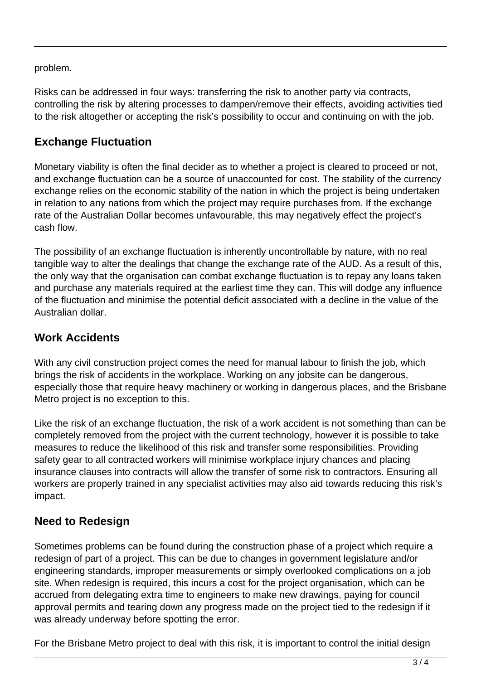problem.

Risks can be addressed in four ways: transferring the risk to another party via contracts, controlling the risk by altering processes to dampen/remove their effects, avoiding activities tied to the risk altogether or accepting the risk's possibility to occur and continuing on with the job.

### **Exchange Fluctuation**

Monetary viability is often the final decider as to whether a project is cleared to proceed or not, and exchange fluctuation can be a source of unaccounted for cost. The stability of the currency exchange relies on the economic stability of the nation in which the project is being undertaken in relation to any nations from which the project may require purchases from. If the exchange rate of the Australian Dollar becomes unfavourable, this may negatively effect the project's cash flow.

The possibility of an exchange fluctuation is inherently uncontrollable by nature, with no real tangible way to alter the dealings that change the exchange rate of the AUD. As a result of this, the only way that the organisation can combat exchange fluctuation is to repay any loans taken and purchase any materials required at the earliest time they can. This will dodge any influence of the fluctuation and minimise the potential deficit associated with a decline in the value of the Australian dollar.

## **Work Accidents**

With any civil construction project comes the need for manual labour to finish the job, which brings the risk of accidents in the workplace. Working on any jobsite can be dangerous, especially those that require heavy machinery or working in dangerous places, and the Brisbane Metro project is no exception to this.

Like the risk of an exchange fluctuation, the risk of a work accident is not something than can be completely removed from the project with the current technology, however it is possible to take measures to reduce the likelihood of this risk and transfer some responsibilities. Providing safety gear to all contracted workers will minimise workplace injury chances and placing insurance clauses into contracts will allow the transfer of some risk to contractors. Ensuring all workers are properly trained in any specialist activities may also aid towards reducing this risk's impact.

## **Need to Redesign**

Sometimes problems can be found during the construction phase of a project which require a redesign of part of a project. This can be due to changes in government legislature and/or engineering standards, improper measurements or simply overlooked complications on a job site. When redesign is required, this incurs a cost for the project organisation, which can be accrued from delegating extra time to engineers to make new drawings, paying for council approval permits and tearing down any progress made on the project tied to the redesign if it was already underway before spotting the error.

For the Brisbane Metro project to deal with this risk, it is important to control the initial design